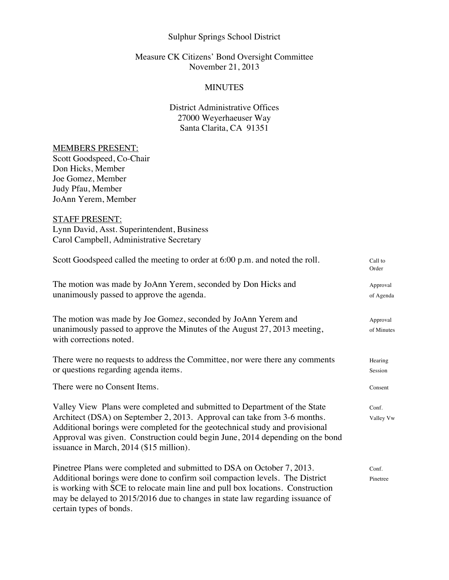## Sulphur Springs School District

## Measure CK Citizens' Bond Oversight Committee November 21, 2013

### MINUTES

# District Administrative Offices 27000 Weyerhaeuser Way Santa Clarita, CA 91351

#### MEMBERS PRESENT:

Scott Goodspeed, Co-Chair Don Hicks, Member Joe Gomez, Member Judy Pfau, Member JoAnn Yerem, Member

## STAFF PRESENT:

Lynn David, Asst. Superintendent, Business Carol Campbell, Administrative Secretary

| Scott Goodspeed called the meeting to order at 6:00 p.m. and noted the roll.                                                                                                                                                                                                                                                                                      | Call to<br>Order       |
|-------------------------------------------------------------------------------------------------------------------------------------------------------------------------------------------------------------------------------------------------------------------------------------------------------------------------------------------------------------------|------------------------|
| The motion was made by JoAnn Yerem, seconded by Don Hicks and<br>unanimously passed to approve the agenda.                                                                                                                                                                                                                                                        | Approval<br>of Agenda  |
| The motion was made by Joe Gomez, seconded by JoAnn Yerem and<br>unanimously passed to approve the Minutes of the August 27, 2013 meeting,<br>with corrections noted.                                                                                                                                                                                             | Approval<br>of Minutes |
| There were no requests to address the Committee, nor were there any comments<br>or questions regarding agenda items.                                                                                                                                                                                                                                              | Hearing<br>Session     |
| There were no Consent Items.                                                                                                                                                                                                                                                                                                                                      | Consent                |
| Valley View Plans were completed and submitted to Department of the State<br>Architect (DSA) on September 2, 2013. Approval can take from 3-6 months.<br>Additional borings were completed for the geotechnical study and provisional<br>Approval was given. Construction could begin June, 2014 depending on the bond<br>issuance in March, 2014 (\$15 million). | Conf.<br>Valley Vw     |
| Pinetree Plans were completed and submitted to DSA on October 7, 2013.<br>Additional borings were done to confirm soil compaction levels. The District<br>is working with SCE to relocate main line and pull box locations. Construction<br>may be delayed to 2015/2016 due to changes in state law regarding issuance of<br>certain types of bonds.              | Conf.<br>Pinetree      |